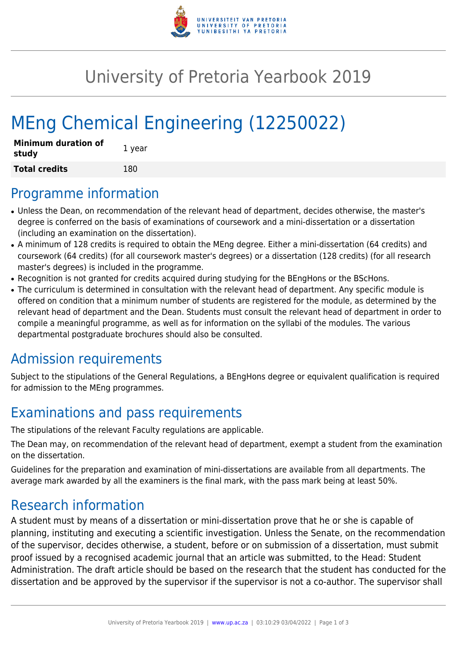

## University of Pretoria Yearbook 2019

# MEng Chemical Engineering (12250022)

| <b>Minimum duration of</b><br>study | 1 year |
|-------------------------------------|--------|
| <b>Total credits</b>                | 180    |

#### Programme information

- Unless the Dean, on recommendation of the relevant head of department, decides otherwise, the master's degree is conferred on the basis of examinations of coursework and a mini-dissertation or a dissertation (including an examination on the dissertation).
- A minimum of 128 credits is required to obtain the MEng degree. Either a mini-dissertation (64 credits) and coursework (64 credits) (for all coursework master's degrees) or a dissertation (128 credits) (for all research master's degrees) is included in the programme.
- Recognition is not granted for credits acquired during studying for the BEngHons or the BScHons.
- The curriculum is determined in consultation with the relevant head of department. Any specific module is offered on condition that a minimum number of students are registered for the module, as determined by the relevant head of department and the Dean. Students must consult the relevant head of department in order to compile a meaningful programme, as well as for information on the syllabi of the modules. The various departmental postgraduate brochures should also be consulted.

### Admission requirements

Subject to the stipulations of the General Regulations, a BEngHons degree or equivalent qualification is required for admission to the MEng programmes.

### Examinations and pass requirements

The stipulations of the relevant Faculty regulations are applicable.

The Dean may, on recommendation of the relevant head of department, exempt a student from the examination on the dissertation.

Guidelines for the preparation and examination of mini-dissertations are available from all departments. The average mark awarded by all the examiners is the final mark, with the pass mark being at least 50%.

### Research information

A student must by means of a dissertation or mini-dissertation prove that he or she is capable of planning, instituting and executing a scientific investigation. Unless the Senate, on the recommendation of the supervisor, decides otherwise, a student, before or on submission of a dissertation, must submit proof issued by a recognised academic journal that an article was submitted, to the Head: Student Administration. The draft article should be based on the research that the student has conducted for the dissertation and be approved by the supervisor if the supervisor is not a co-author. The supervisor shall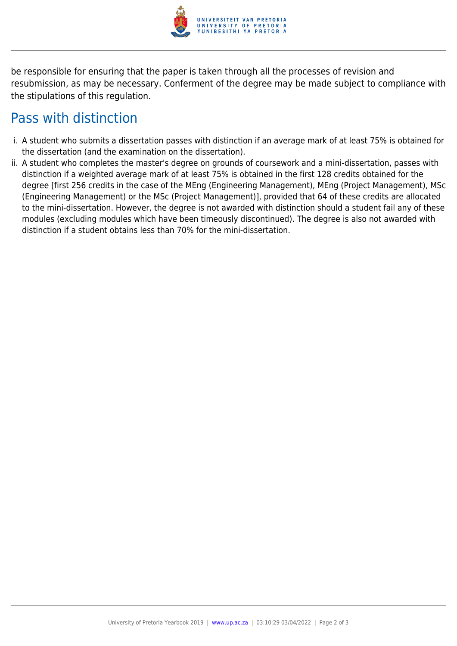

be responsible for ensuring that the paper is taken through all the processes of revision and resubmission, as may be necessary. Conferment of the degree may be made subject to compliance with the stipulations of this regulation.

#### Pass with distinction

- i. A student who submits a dissertation passes with distinction if an average mark of at least 75% is obtained for the dissertation (and the examination on the dissertation).
- ii. A student who completes the master's degree on grounds of coursework and a mini-dissertation, passes with distinction if a weighted average mark of at least 75% is obtained in the first 128 credits obtained for the degree [first 256 credits in the case of the MEng (Engineering Management), MEng (Project Management), MSc (Engineering Management) or the MSc (Project Management)], provided that 64 of these credits are allocated to the mini-dissertation. However, the degree is not awarded with distinction should a student fail any of these modules (excluding modules which have been timeously discontinued). The degree is also not awarded with distinction if a student obtains less than 70% for the mini-dissertation.